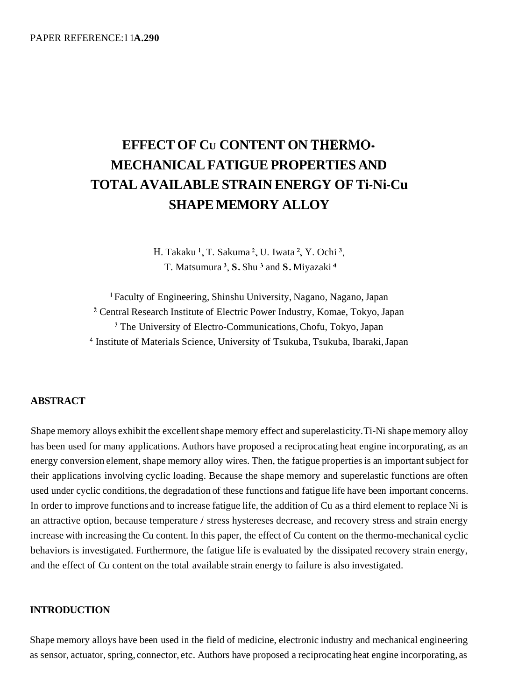# **EFFECT OF CU CONTENT ON THERMO-MECHANICAL FATIGUE PROPERTIES AND TOTAL AVAILABLE STRAIN ENERGY OF Ti-Ni-Cu SHAPE MEMORY ALLOY**

H. Takaku **I,** T. Sakuma **2,** U. Iwata **2,** Y. Ochi 3, T. Matsumura<sup>3</sup>, S. Shu<sup>3</sup> and S. Miyazaki<sup>4</sup>

**<sup>I</sup>**Faculty of Engineering, Shinshu University, Nagano, Nagano, Japan Central Research Institute of Electric Power Industry, Komae, Tokyo, Japan <sup>3</sup> The University of Electro-Communications, Chofu, Tokyo, Japan <sup>4</sup> Institute of Materials Science, University of Tsukuba, Tsukuba, Ibaraki, Japan

# **ABSTRACT**

Shape memory alloys exhibit the excellent shape memory effect and superelasticity. Ti-Ni shape memory alloy has been used for many applications. Authors have proposed a reciprocating heat engine incorporating, as an energy conversion element, shape memory alloy wires. Then, the fatigue properties is an important subject for their applications involving cyclic loading. Because the shape memory and superelastic functions are often used under cyclic conditions, the degradation of these functions and fatigue life have been important concerns. In order to improve functions and to increase fatigue life, the addition of Cu as a third element to replace Ni is an attractive option, because temperature / stress hystereses decrease, and recovery stress and strain energy increase with increasing the Cu content. In this paper, the effect of Cu content on the thermo-mechanical cyclic behaviors is investigated. Furthermore, the fatigue life is evaluated by the dissipated recovery strain energy, and the effect of Cu content on the total available strain energy to failure is also investigated.

# **INTRODUCTION**

Shape memory alloys have been used in the field of medicine, electronic industry and mechanical engineering as sensor, actuator, spring, connector, etc. Authors have proposed a reciprocating heat engine incorporating, as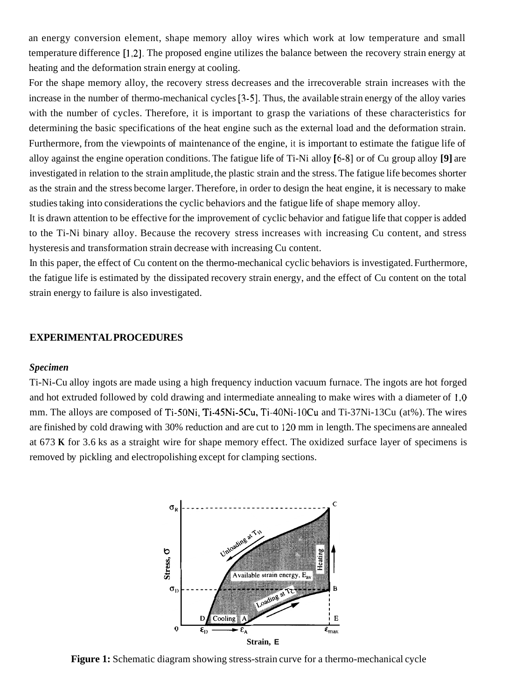an energy conversion element, shape memory alloy wires which work at low temperature and small temperature difference [1,2]. The proposed engine utilizes the balance between the recovery strain energy at heating and the deformation strain energy at cooling.

For the shape memory alloy, the recovery stress decreases and the irrecoverable strain increases with the increase in the number of thermo-mechanical cycles [3-51. Thus, the available strain energy of the alloy varies with the number of cycles. Therefore, it is important to grasp the variations of these characteristics for determining the basic specifications of the heat engine such as the external load and the deformation strain. Furthermore, from the viewpoints of maintenance of the engine, it is important to estimate the fatigue life of alloy against the engine operation conditions. The fatigue life of Ti-Ni alloy [6-81 or of Cu group alloy **[9]** are investigated in relation to the strain amplitude, the plastic strain and the stress. The fatigue life becomes shorter as the strain and the stress become larger. Therefore, in order to design the heat engine, it is necessary to make studies taking into considerations the cyclic behaviors and the fatigue life of shape memory alloy.

It is drawn attention to be effective for the improvement of cyclic behavior and fatigue life that copper is added to the Ti-Ni binary alloy. Because the recovery stress increases with increasing Cu content, and stress hysteresis and transformation strain decrease with increasing Cu content.

In this paper, the effect of Cu content on the thermo-mechanical cyclic behaviors is investigated. Furthermore, the fatigue life is estimated by the dissipated recovery strain energy, and the effect of Cu content on the total strain energy to failure is also investigated.

#### **EXPERIMENTAL PROCEDURES**

### *Specimen*

Ti-Ni-Cu alloy ingots are made using a high frequency induction vacuum furnace. The ingots are hot forged and hot extruded followed by cold drawing and intermediate annealing to make wires with a diameter of **1** *.O*  mm. The alloys are composed of Ti-SONi, Ti-45Ni-5Cu, Ti-40Ni-lOCu and Ti-37Ni-13Cu (at%). The wires are finished by cold drawing with 30% reduction and are cut to 120 mm in length. The specimens are annealed at 673 **K** for 3.6 ks as a straight wire for shape memory effect. The oxidized surface layer of specimens is removed by pickling and electropolishing except for clamping sections.



**Figure 1:** Schematic diagram showing stress-strain curve for a thermo-mechanical cycle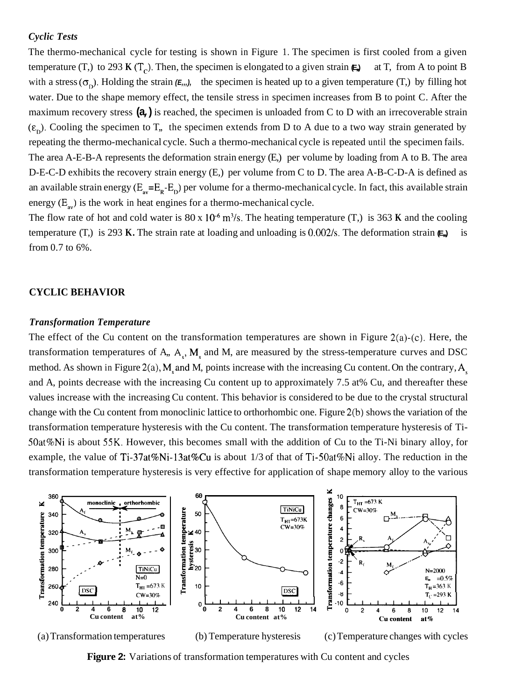#### *Cyclic Tests*

The thermo-mechanical cycle for testing is shown in Figure 1. The specimen is first cooled from a given temperature (T,) to 293 **K** (T<sub>c</sub>). Then, the specimen is elongated to a given strain  $\epsilon$ , at T, from A to point B with a stress  $(\sigma_p)$ . Holding the strain  $(E_m)$ , the specimen is heated up to a given temperature (T,) by filling hot water. Due to the shape memory effect, the tensile stress in specimen increases from B to point C. After the maximum recovery stress **(a,)** is reached, the specimen is unloaded from C to D with an irrecoverable strain  $(\varepsilon_n)$ . Cooling the specimen to T<sub>r</sub>, the specimen extends from D to A due to a two way strain generated by repeating the thermo-mechanical cycle. Such a thermo-mechanical cycle is repeated until the specimen fails. The area A-E-B-A represents the deformation strain energy (E,) per volume by loading from A to B. The area D-E-C-D exhibits the recovery strain energy (E,) per volume from C to D. The area A-B-C-D-A is defined as an available strain energy  $(E_{av}=E_R-E_D)$  per volume for a thermo-mechanical cycle. In fact, this available strain energy  $(E_{\infty})$  is the work in heat engines for a thermo-mechanical cycle.

The flow rate of hot and cold water is  $80 \times 10^{-6}$  m<sup>3</sup>/s. The heating temperature (T,) is 363 **K** and the cooling temperature (T,) is 293 **K.** The strain rate at loading and unloading is 0.002/s. The deformation strain  $\epsilon$ , is from 0.7 to 6%.

## **CYCLIC BEHAVIOR**

### *Transformation Temperature*

The effect of the Cu content on the transformation temperatures are shown in Figure  $2(a)-(c)$ . Here, the transformation temperatures of A,,  $A_s$ ,  $M_s$  and M, are measured by the stress-temperature curves and DSC method. As shown in Figure 2(a),  $M_s$  and M, points increase with the increasing Cu content. On the contrary,  $A_s$ and A, points decrease with the increasing Cu content up to approximately 7.5 at% Cu, and thereafter these values increase with the increasing Cu content. This behavior is considered to be due to the crystal structural change with the Cu content from monoclinic lattice to orthorhombic one. Figure 2(b) shows the variation of the transformation temperature hysteresis with the Cu content. The transformation temperature hysteresis of Ti-SOat%Ni is about **55K.** However, this becomes small with the addition of Cu to the Ti-Ni binary alloy, for example, the value of Ti-37at%Ni-l3at%Cu is about 1/3 of that of Ti-SOat%Ni alloy. The reduction in the transformation temperature hysteresis is very effective for application of shape memory alloy to the various



(a) Transformation temperatures (b) Temperature hysteresis (c) Temperature changes with cycles

**Figure 2:** Variations of transformation temperatures with Cu content and cycles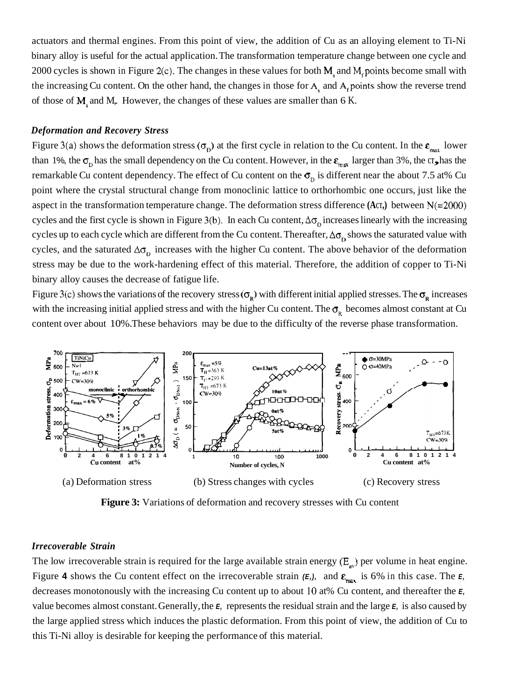actuators and thermal engines. From this point of view, the addition of Cu as an alloying element to Ti-Ni binary alloy is useful for the actual application. The transformation temperature change between one cycle and 2000 cycles is shown in Figure 2(c). The changes in these values for both M<sub>s</sub> and M<sub>c</sub> points become small with the increasing Cu content. On the other hand, the changes in those for A<sub>s</sub> and A<sub>f</sub> points show the reverse trend of those of M<sub>r</sub> and M<sub>r</sub>. However, the changes of these values are smaller than 6 K.

## *Deformation and Recovery Stress*

Figure 3(a) shows the deformation stress  $(\sigma_{p})$  at the first cycle in relation to the Cu content. In the  $\varepsilon_{max}$  lower than 1%, the  $\sigma_{\rm p}$  has the small dependency on the Cu content. However, in the  $\varepsilon_{\rm max}$  larger than 3%, the  $\sigma_{\rm p}$  has the remarkable Cu content dependency. The effect of Cu content on the  $\sigma_{\rm o}$  is different near the about 7.5 at% Cu point where the crystal structural change from monoclinic lattice to orthorhombic one occurs, just like the aspect in the transformation temperature change. The deformation stress difference **(ACT,)** between N(=2000) cycles and the first cycle is shown in Figure 3(b). In each Cu content,  $\Delta\sigma_0$  increases linearly with the increasing cycles up to each cycle which are different from the Cu content. Thereafter,  $\Delta\sigma_{\rm b}$  shows the saturated value with cycles, and the saturated  $\Delta\sigma_{\rm o}$  increases with the higher Cu content. The above behavior of the deformation stress may be due to the work-hardening effect of this material. Therefore, the addition of copper to Ti-Ni binary alloy causes the decrease of fatigue life.

Figure 3(c) shows the variations of the recovery stress  $(\sigma_R)$  with different initial applied stresses. The  $\sigma_R$  increases with the increasing initial applied stress and with the higher Cu content. The  $\sigma_{R}$  becomes almost constant at Cu content over about 10%. These behaviors may be due to the difficulty of the reverse phase transformation.



**Figure 3:** Variations of deformation and recovery stresses with Cu content

#### *Irrecoverable Strain*

The low irrecoverable strain is required for the large available strain energy  $(E_{av})$  per volume in heat engine. Figure 4 shows the Cu content effect on the irrecoverable strain  $(E_i)$ , and  $\epsilon_{\text{max}}$  is 6% in this case. The  $E_i$ decreases monotonously with the increasing Cu content up to about 10 at% Cu content, and thereafter the *E,*  value becomes almost constant. Generally, the *E,* represents the residual strain and the large *E,* is also caused by the large applied stress which induces the plastic deformation. From this point of view, the addition of Cu to this Ti-Ni alloy is desirable for keeping the performance of this material.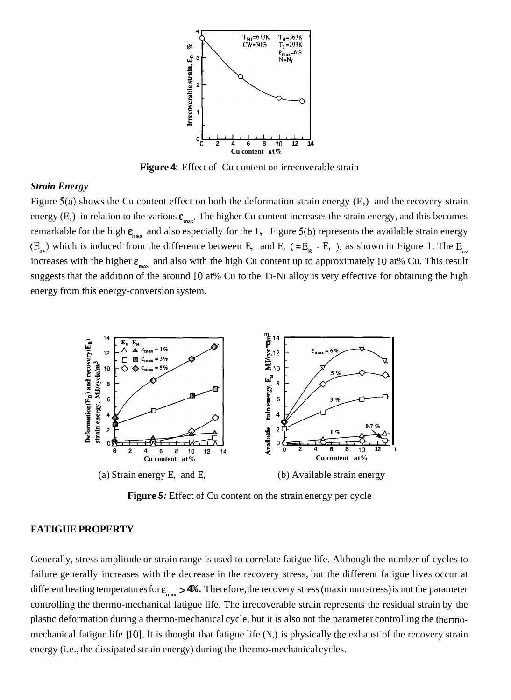

**Figure 4:** Effect of Cu content on irrecoverable strain

#### *Strain Energy*

Figure 5(a) shows the Cu content effect on both the deformation strain energy (E,) and the recovery strain energy (E,) in relation to the various  $\varepsilon_{\text{max}}$ . The higher Cu content increases the strain energy, and this becomes remarkable for the high  $\varepsilon_{\text{max}}$  and also especially for the E. Figure 5(b) represents the available strain energy  $(E_{av})$  which is induced from the difference between E, and E, (=E<sub>R</sub> - E, ), as shown in Figure 1. The E<sub>av</sub> increases with the higher  $\varepsilon_{\text{max}}$  and also with the high Cu content up to approximately 10 at% Cu. This result suggests that the addition of the around 10 at% Cu to the Ti-Ni alloy is very effective for obtaining the high energy from this energy-conversion system.



Figure 5: Effect of Cu content on the strain energy per cycle

#### **FATIGUE PROPERTY**

Generally, stress amplitude or strain range is used to correlate fatigue life. Although the number of cycles to failure generally increases with the decrease in the recovery stress, but the different fatigue lives occur at different heating temperatures for  $\varepsilon_{\text{max}} > 4$ . Therefore, the recovery stress (maximum stress) is not the parameter controlling the thermo-mechanical fatigue life. The irrecoverable strain represents the residual strain by the plastic deformation during a thermo-mechanical cycle, but it is also not the parameter controlling the thermomechanical fatigue life [10]. It is thought that fatigue life (N,) is physically the exhaust of the recovery strain energy (i.e., the dissipated strain energy) during the thermo-mechanical cycles.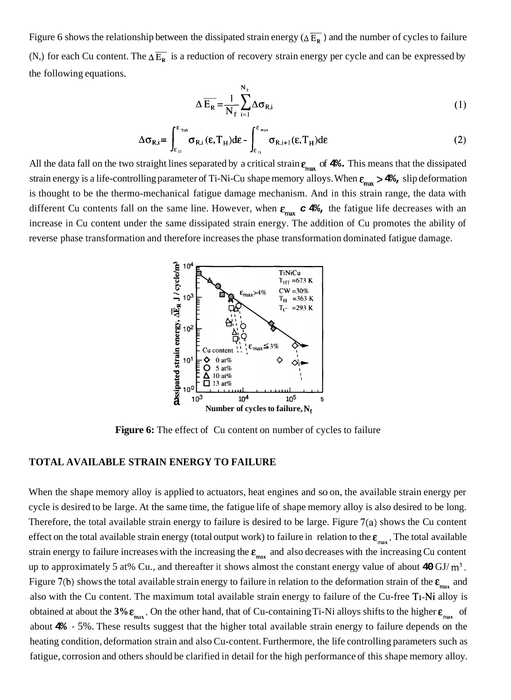Figure 6 shows the relationship between the dissipated strain energy ( $\Delta \overline{E_R}$ ) and the number of cycles to failure (N,) for each Cu content. The  $\Delta \overline{E_R}$  is a reduction of recovery strain energy per cycle and can be expressed by the following equations.

$$
\Delta \overline{\mathbf{E}_{R}} = \frac{1}{N_{f}} \sum_{i=1}^{N_{F}} \Delta \sigma_{R,i}
$$
 (1)

$$
\Delta \sigma_{R,i} = \int_{\varepsilon_{D}}^{\varepsilon_{max}} \sigma_{R,i} (\varepsilon, T_{H}) d\varepsilon - \int_{\varepsilon_{D}}^{\varepsilon_{max}} \sigma_{R,i+1} (\varepsilon, T_{H}) d\varepsilon
$$
 (2)

All the data fall on the two straight lines separated by a critical strain  $\epsilon_{\text{max}}$  of  $4\%$ . This means that the dissipated strain energy is a life-controlling parameter of Ti-Ni-Cu shape memory alloys. When  $\varepsilon_{max} > 4$ , slip deformation is thought to be the thermo-mechanical fatigue damage mechanism. And in this strain range, the data with different Cu contents fall on the same line. However, when  $\varepsilon_{\text{max}}$  **c** 4%, the fatigue life decreases with an increase in Cu content under the same dissipated strain energy. The addition of Cu promotes the ability of reverse phase transformation and therefore increases the phase transformation dominated fatigue damage.

![](_page_5_Figure_4.jpeg)

**Figure 6:** The effect of Cu content on number of cycles to failure

# **TOTAL AVAILABLE STRAIN ENERGY TO FAILURE**

When the shape memory alloy is applied to actuators, heat engines and so on, the available strain energy per cycle is desired to be large. At the same time, the fatigue life of shape memory alloy is also desired to be long. Therefore, the total available strain energy to failure is desired to be large. Figure 7(a) shows the Cu content effect on the total available strain energy (total output work) to failure in relation to the  $\varepsilon_{max}$ . The total available strain energy to failure increases with the increasing the  $\varepsilon_{\text{max}}$  and also decreases with the increasing Cu content up to approximately 5 at% Cu., and thereafter it shows almost the constant energy value of about **40** GJ/ **m3.**  Figure 7(b) shows the total available strain energy to failure in relation to the deformation strain of the  $\varepsilon_{\rm max}$  and also with the Cu content. The maximum total available strain energy to failure of the Cu-free Ti-Ni alloy is obtained at about the  $3\% \varepsilon_{max}$ . On the other hand, that of Cu-containing Ti-Ni alloys shifts to the higher  $\varepsilon_{max}$  of about **4%** - 5%. These results suggest that the higher total available strain energy to failure depends on the heating condition, deformation strain and also Cu-content. Furthermore, the life controlling parameters such as fatigue, corrosion and others should be clarified in detail for the high performance of this shape memory alloy.